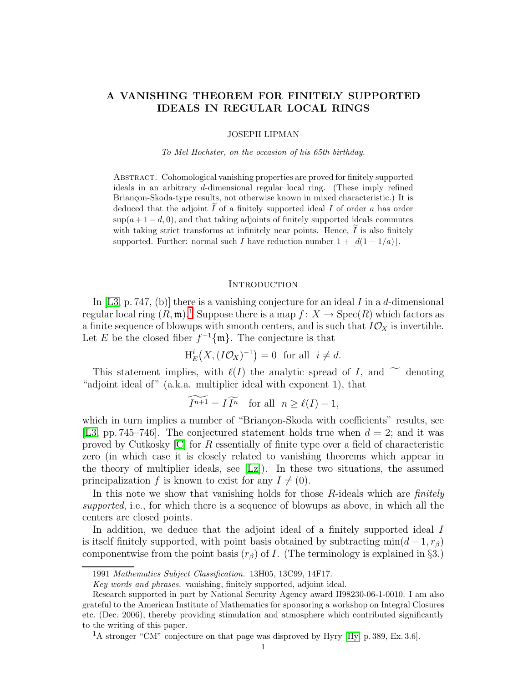# A VANISHING THEOREM FOR FINITELY SUPPORTED IDEALS IN REGULAR LOCAL RINGS

JOSEPH LIPMAN

To Mel Hochster, on the occasion of his 65th birthday.

Abstract. Cohomological vanishing properties are proved for finitely supported ideals in an arbitrary d-dimensional regular local ring. (These imply refined Briançon-Skoda-type results, not otherwise known in mixed characteristic.) It is deduced that the adjoint  $\tilde{I}$  of a finitely supported ideal I of order a has order  $\sup(a+1-d, 0)$ , and that taking adjoints of finitely supported ideals commutes with taking strict transforms at infinitely near points. Hence,  $I$  is also finitely supported. Further: normal such I have reduction number  $1 + |d(1 - 1/a)|$ .

#### **INTRODUCTION**

In  $[L3, p. 747, (b)]$  there is a vanishing conjecture for an ideal I in a d-dimensional regular local ring  $(R, \mathfrak{m})$ .<sup>[1](#page-0-0)</sup> Suppose there is a map  $f : X \to \mathrm{Spec}(R)$  which factors as a finite sequence of blowups with smooth centers, and is such that  $I\mathcal{O}_X$  is invertible. Let E be the closed fiber  $f^{-1}\{\mathfrak{m}\}\.$  The conjecture is that

$$
H_E^i(X, (I\mathcal{O}_X)^{-1}) = 0 \text{ for all } i \neq d.
$$

This statement implies, with  $\ell(I)$  the analytic spread of I, and  $\tilde{\phantom{a}}$  denoting "adjoint ideal of" (a.k.a. multiplier ideal with exponent 1), that

 $\widetilde{I^{n+1}} = I \widetilde{I^n}$  for all  $n \ge \ell(I) - 1$ ,

which in turn implies a number of "Briançon-Skoda with coefficients" results, see [\[L3,](#page-11-0) pp. 745–746]. The conjectured statement holds true when  $d = 2$ ; and it was proved by Cutkosky  $[C]$  for R essentially of finite type over a field of characteristic zero (in which case it is closely related to vanishing theorems which appear in the theory of multiplier ideals, see [\[Lz\]](#page-11-1)). In these two situations, the assumed principalization f is known to exist for any  $I \neq (0)$ .

In this note we show that vanishing holds for those R-ideals which are *finitely* supported, i.e., for which there is a sequence of blowups as above, in which all the centers are closed points.

In addition, we deduce that the adjoint ideal of a finitely supported ideal I is itself finitely supported, with point basis obtained by subtracting  $\min(d-1, r<sub>\beta</sub>)$ componentwise from the point basis  $(r_\beta)$  of I. (The terminology is explained in §3.)

<sup>1991</sup> Mathematics Subject Classification. 13H05, 13C99, 14F17.

Key words and phrases. vanishing, finitely supported, adjoint ideal.

Research supported in part by National Security Agency award H98230-06-1-0010. I am also grateful to the American Institute of Mathematics for sponsoring a workshop on Integral Closures etc. (Dec. 2006), thereby providing stimulation and atmosphere which contributed significantly to the writing of this paper.

<span id="page-0-0"></span><sup>&</sup>lt;sup>1</sup>A stronger "CM" conjecture on that page was disproved by Hyry [\[Hy,](#page-10-1) p. 389, Ex. 3.6].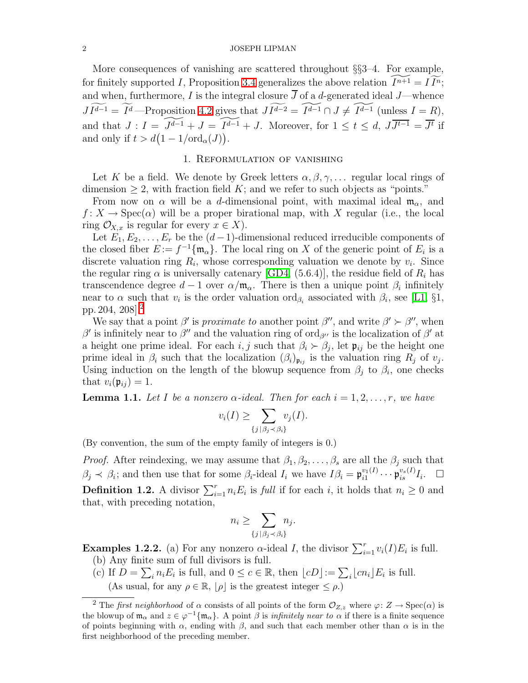More consequences of vanishing are scattered throughout §§3–4. For example, for finitely supported I, Proposition [3.4](#page-7-0) generalizes the above relation  $\widetilde{I^{n+1}} = \widetilde{I}\widetilde{I^n}$ ; and when, furthermore, I is the integral closure  $\overline{J}$  of a d-generated ideal J—whence  $J\widetilde{I^{d-1}} = \widetilde{I^d}$  —Proposition [4.2](#page-9-0) gives that  $J\widetilde{I^{d-2}} = \widetilde{I^{d-1}} \cap J \neq \widetilde{I^{d-1}}$  (unless  $I = R$ ), and that  $J: I = \widetilde{J^{d-1}} + J = \widetilde{I^{d-1}} + J$ . Moreover, for  $1 \le t \le d$ ,  $J\overline{J^{t-1}} = \overline{J^t}$  if and only if  $t > d(1 - 1/\text{ord}_{\alpha}(J)).$ 

# 1. Reformulation of vanishing

Let K be a field. We denote by Greek letters  $\alpha, \beta, \gamma, \ldots$  regular local rings of dimension  $\geq 2$ , with fraction field K; and we refer to such objects as "points."

From now on  $\alpha$  will be a d-dimensional point, with maximal ideal  $\mathfrak{m}_{\alpha}$ , and  $f: X \to \text{Spec}(\alpha)$  will be a proper birational map, with X regular (i.e., the local ring  $\mathcal{O}_{X,x}$  is regular for every  $x \in X$ ).

Let  $E_1, E_2, \ldots, E_r$  be the  $(d-1)$ -dimensional reduced irreducible components of the closed fiber  $E := f^{-1}\{\mathfrak{m}_{\alpha}\}\.$  The local ring on X of the generic point of  $E_i$  is a discrete valuation ring  $R_i$ , whose corresponding valuation we denote by  $v_i$ . Since the regular ring  $\alpha$  is universally catenary [\[GD4,](#page-10-2) (5.6.4)], the residue field of  $R_i$  has transcendence degree  $d-1$  over  $\alpha/\mathfrak{m}_{\alpha}$ . There is then a unique point  $\beta_i$  infinitely near to  $\alpha$  such that  $v_i$  is the order valuation  $\text{ord}_{\beta_i}$  associated with  $\beta_i$ , see [\[L1,](#page-11-2) §1, pp. 204, 208].[2](#page-1-0)

We say that a point  $\beta'$  is *proximate to* another point  $\beta''$ , and write  $\beta' \succ \beta''$ , when β' is infinitely near to β'' and the valuation ring of ord<sub>β''</sub> is the localization of β' at a height one prime ideal. For each  $i, j$  such that  $\beta_i \succ \beta_j$ , let  $\mathfrak{p}_{ij}$  be the height one prime ideal in  $\beta_i$  such that the localization  $(\beta_i)_{\mathfrak{p}_{ij}}$  is the valuation ring  $R_j$  of  $v_j$ . Using induction on the length of the blowup sequence from  $\beta_j$  to  $\beta_i$ , one checks that  $v_i(\mathfrak{p}_{ij}) = 1$ .

<span id="page-1-1"></span>**Lemma 1.1.** Let I be a nonzero  $\alpha$ -ideal. Then for each  $i = 1, 2, ..., r$ , we have

$$
v_i(I) \ge \sum_{\{j \mid \beta_j \prec \beta_i\}} v_j(I).
$$

(By convention, the sum of the empty family of integers is 0.)

*Proof.* After reindexing, we may assume that  $\beta_1, \beta_2, \ldots, \beta_s$  are all the  $\beta_j$  such that  $\beta_j \prec \beta_i$ ; and then use that for some  $\beta_i$ -ideal  $I_i$  we have  $I\beta_i = \mathfrak{p}_{i1}^{v_1(I)}$  $\overset{v_1(I)}{\vphantom{\overbrace{\overbrace{\overline{v}}}}\vphantom{\overbrace{\overline{v}}}}\mathfrak{p}_{is}^{v_s(I)}I_i. \quad \Box$ **Definition 1.2.** A divisor  $\sum_{i=1}^{r} n_i E_i$  is *full* if for each *i*, it holds that  $n_i \geq 0$  and that, with preceding notation,

$$
n_i \ge \sum_{\{j \,|\, \beta_j \prec \beta_i\}} n_j
$$

.

**Examples 1.2.2.** (a) For any nonzero  $\alpha$ -ideal *I*, the divisor  $\sum_{i=1}^{r} v_i(I) E_i$  is full.

- (b) Any finite sum of full divisors is full.
- (c) If  $D = \sum_i n_i E_i$  is full, and  $0 \le c \in \mathbb{R}$ , then  $\lfloor cD \rfloor := \sum_i \lfloor cn_i \rfloor E_i$  is full.

(As usual, for any  $\rho \in \mathbb{R}$ ,  $[\rho]$  is the greatest integer  $\leq \rho$ .)

<span id="page-1-0"></span><sup>&</sup>lt;sup>2</sup> The *first neighborhood* of  $\alpha$  consists of all points of the form  $\mathcal{O}_{Z,z}$  where  $\varphi: Z \to \text{Spec}(\alpha)$  is the blowup of  $m_\alpha$  and  $z \in \varphi^{-1}\{m_\alpha\}$ . A point  $\beta$  is *infinitely near to*  $\alpha$  if there is a finite sequence of points beginning with  $\alpha$ , ending with  $\beta$ , and such that each member other than  $\alpha$  is in the first neighborhood of the preceding member.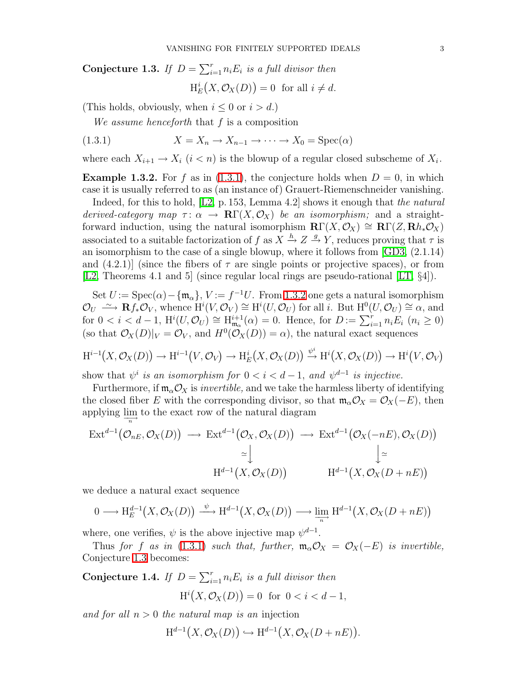<span id="page-2-1"></span>Conjecture 1.3. If  $D = \sum_{i=1}^{r} n_i E_i$  is a full divisor then  $H_E^i(X, \mathcal{O}_X(D)) = 0$  for all  $i \neq d$ .

(This holds, obviously, when  $i \leq 0$  or  $i > d$ .)

<span id="page-2-0"></span>We assume henceforth that f is a composition

(1.3.1) 
$$
X = X_n \to X_{n-1} \to \cdots \to X_0 = \text{Spec}(\alpha)
$$

where each  $X_{i+1} \to X_i$   $(i < n)$  is the blowup of a regular closed subscheme of  $X_i$ .

**Example 1.3.2.** For f as in [\(1.3.1\)](#page-2-0), the conjecture holds when  $D = 0$ , in which case it is usually referred to as (an instance of) Grauert-Riemenschneider vanishing.

Indeed, for this to hold,  $[L2, p. 153, Lemma 4.2]$  shows it enough that the natural derived-category map  $\tau: \alpha \to \mathbb{R}\Gamma(X, \mathcal{O}_X)$  be an isomorphism; and a straightforward induction, using the natural isomorphism  $\mathbf{R}\Gamma(X,\mathcal{O}_X) \cong \mathbf{R}\Gamma(Z,\mathbf{R}h_*\mathcal{O}_X)$ associated to a suitable factorization of f as  $X \stackrel{h}{\rightarrow} Z \stackrel{g}{\rightarrow} Y$ , reduces proving that  $\tau$  is an isomorphism to the case of a single blowup, where it follows from [\[GD3,](#page-10-3) (2.1.14) and  $(4.2.1)$  (since the fibers of  $\tau$  are single points or projective spaces), or from [\[L2,](#page-11-3) Theorems 4.1 and 5] (since regular local rings are pseudo-rational [\[LT,](#page-11-4) §4]).

Set  $U := \text{Spec}(\alpha) - \{\mathfrak{m}_{\alpha}\}, V := f^{-1}U$ . From [1.3.2](#page-8-0) one gets a natural isomorphism  $\mathcal{O}_U \longrightarrow \mathbf{R}f_*\mathcal{O}_V$ , whence  $\mathrm{H}^i(V, \mathcal{O}_V) \cong \mathrm{H}^i(U, \mathcal{O}_U)$  for all i. But  $\mathrm{H}^0(U, \mathcal{O}_U) \cong \alpha$ , and for  $0 < i < d-1$ ,  $H^{i}(U, \mathcal{O}_{U}) \cong H^{i+1}_{\mathfrak{m}_{\alpha}}(\alpha) = 0$ . Hence, for  $D := \sum_{i=1}^{r} n_{i}E_{i}$   $(n_{i} \geq 0)$ (so that  $\mathcal{O}_X(D)|_V = \mathcal{O}_V$ , and  $H^0(\mathcal{O}_X(D)) = \alpha$ ), the natural exact sequences

$$
H^{i-1}(X, \mathcal{O}_X(D)) \to H^{i-1}(V, \mathcal{O}_V) \to H^i_E(X, \mathcal{O}_X(D)) \xrightarrow{\psi^i} H^i(X, \mathcal{O}_X(D)) \to H^i(V, \mathcal{O}_V)
$$

show that  $\psi^i$  is an isomorphism for  $0 < i < d-1$ , and  $\psi^{d-1}$  is injective.

Furthermore, if  $\mathfrak{m}_{\alpha} \mathcal{O}_X$  is *invertible*, and we take the harmless liberty of identifying the closed fiber E with the corresponding divisor, so that  $\mathfrak{m}_{\alpha} \mathcal{O}_X = \mathcal{O}_X(-E)$ , then applying  $\lim_{n \to \infty}$  to the exact row of the natural diagram

$$
\operatorname{Ext}^{d-1}(\mathcal{O}_{nE}, \mathcal{O}_X(D)) \longrightarrow \operatorname{Ext}^{d-1}(\mathcal{O}_X, \mathcal{O}_X(D)) \longrightarrow \operatorname{Ext}^{d-1}(\mathcal{O}_X(-nE), \mathcal{O}_X(D))
$$
  
\n
$$
\simeq \downarrow \qquad \qquad \downarrow \simeq
$$
  
\n
$$
\operatorname{H}^{d-1}(X, \mathcal{O}_X(D)) \qquad \qquad \operatorname{H}^{d-1}(X, \mathcal{O}_X(D+nE))
$$

we deduce a natural exact sequence

$$
0 \longrightarrow \mathrm{H}^{d-1}_E(X, \mathcal{O}_X(D)) \xrightarrow{\psi} \mathrm{H}^{d-1}(X, \mathcal{O}_X(D)) \longrightarrow \lim_{\longrightarrow} \mathrm{H}^{d-1}(X, \mathcal{O}_X(D + nE))
$$

where, one verifies,  $\psi$  is the above injective map  $\psi^{d-1}$ .

<span id="page-2-2"></span>Thus for f as in [\(1.3.1\)](#page-2-0) such that, further,  $\mathfrak{m}_{\alpha} \mathcal{O}_X = \mathcal{O}_X(-E)$  is invertible, Conjecture [1.3](#page-2-1) becomes:

Conjecture 1.4. If  $D = \sum_{i=1}^{r} n_i E_i$  is a full divisor then  $H^{i}(X, \mathcal{O}_{X}(D)) = 0$  for  $0 < i < d-1$ ,

and for all  $n > 0$  the natural map is an injection

$$
\mathrm{H}^{d-1}(X,\mathcal{O}_X(D)) \hookrightarrow \mathrm{H}^{d-1}(X,\mathcal{O}_X(D+nE)).
$$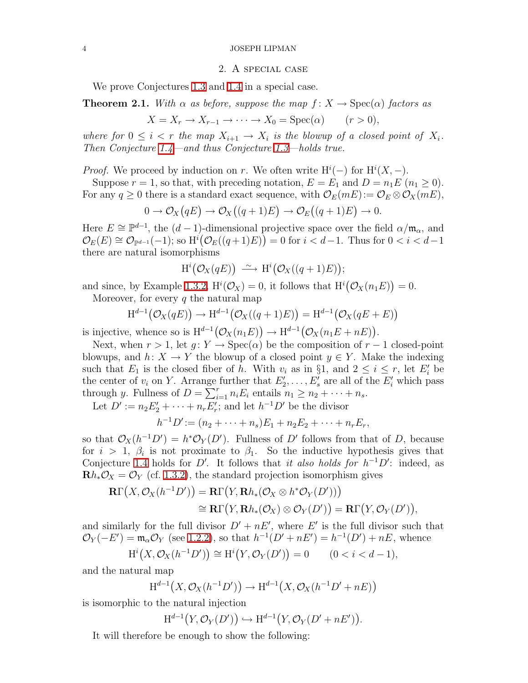### 2. A special case

We prove Conjectures [1.3](#page-2-1) and [1.4](#page-2-2) in a special case.

<span id="page-3-1"></span>**Theorem 2.1.** With  $\alpha$  as before, suppose the map  $f: X \to \text{Spec}(\alpha)$  factors as

$$
X = X_r \to X_{r-1} \to \cdots \to X_0 = \text{Spec}(\alpha) \qquad (r > 0),
$$

where for  $0 \leq i < r$  the map  $X_{i+1} \to X_i$  is the blowup of a closed point of  $X_i$ . Then Conjecture [1.4—](#page-2-2)and thus Conjecture [1.3—](#page-2-1)holds true.

*Proof.* We proceed by induction on r. We often write  $H^{i}(-)$  for  $H^{i}(X, -)$ .

Suppose  $r = 1$ , so that, with preceding notation,  $E = E_1$  and  $D = n_1 E$   $(n_1 \ge 0)$ . For any  $q \ge 0$  there is a standard exact sequence, with  $\mathcal{O}_E(mE) := \mathcal{O}_E \otimes \mathcal{O}_X(mE)$ ,

$$
0 \to \mathcal{O}_X(qE) \to \mathcal{O}_X((q+1)E) \to \mathcal{O}_E((q+1)E) \to 0.
$$

Here  $E \cong \mathbb{P}^{d-1}$ , the  $(d-1)$ -dimensional projective space over the field  $\alpha/\mathfrak{m}_{\alpha}$ , and  $\mathcal{O}_E(E) \cong \mathcal{O}_{\mathbb{P}^{d-1}}(-1)$ ; so  $\text{H}^{i}(\mathcal{O}_E((q+1)E)) = 0$  for  $i < d-1$ . Thus for  $0 < i < d-1$ there are natural isomorphisms

$$
H^{i}(\mathcal{O}_{X}(qE)) \longrightarrow H^{i}(\mathcal{O}_{X}((q+1)E));
$$

and since, by Example [1.3.2,](#page-8-0)  $H^i(\mathcal{O}_X) = 0$ , it follows that  $H^i(\mathcal{O}_X(n_1E)) = 0$ .

Moreover, for every  $q$  the natural map

$$
H^{d-1}(\mathcal{O}_X(qE)) \to H^{d-1}(\mathcal{O}_X((q+1)E)) = H^{d-1}(\mathcal{O}_X(qE+E))
$$

is injective, whence so is  $H^{d-1}(\mathcal{O}_X(n_1E)) \to H^{d-1}(\mathcal{O}_X(n_1E+nE)).$ 

Next, when  $r > 1$ , let  $g: Y \to \text{Spec}(\alpha)$  be the composition of  $r - 1$  closed-point blowups, and  $h: X \to Y$  the blowup of a closed point  $y \in Y$ . Make the indexing such that  $E_1$  is the closed fiber of h. With  $v_i$  as in §1, and  $2 \leq i \leq r$ , let  $E'_i$  be the center of  $v_i$  on Y. Arrange further that  $E'_2, \ldots, E'_s$  are all of the  $E'_i$  which pass through y. Fullness of  $D = \sum_{i=1}^{r} n_i E_i$  entails  $n_1 \geq n_2 + \cdots + n_s$ .

Let  $D' := n_2 E'_2 + \cdots + n_r E'_r$ ; and let  $h^{-1} D'$  be the divisor

$$
h^{-1}D' := (n_2 + \cdots + n_s)E_1 + n_2E_2 + \cdots + n_rE_r,
$$

so that  $\mathcal{O}_X(h^{-1}D') = h^*\mathcal{O}_Y(D')$ . Fullness of D' follows from that of D, because for  $i > 1$ ,  $\beta_i$  is not proximate to  $\beta_1$ . So the inductive hypothesis gives that Conjecture [1.4](#page-2-2) holds for D'. It follows that it also holds for  $h^{-1}D'$ : indeed, as  $\mathbf{R}h_*\mathcal{O}_X = \mathcal{O}_Y$  (cf. [1.3.2\)](#page-8-0), the standard projection isomorphism gives

$$
\mathbf{R}\Gamma(X,\mathcal{O}_X(h^{-1}D')) = \mathbf{R}\Gamma(Y,\mathbf{R}h_*(\mathcal{O}_X \otimes h^*\mathcal{O}_Y(D')))
$$
  
\n
$$
\cong \mathbf{R}\Gamma(Y,\mathbf{R}h_*(\mathcal{O}_X) \otimes \mathcal{O}_Y(D')) = \mathbf{R}\Gamma(Y,\mathcal{O}_Y(D')),
$$

and similarly for the full divisor  $D' + nE'$ , where E' is the full divisor such that  $\mathcal{O}_Y(-E') = \mathfrak{m}_\alpha \mathcal{O}_Y$  (see [1.2.2\)](#page-8-0), so that  $h^{-1}(D' + nE') = h^{-1}(D') + nE$ , whence

$$
\mathrm{H}^i\big(X,\mathcal{O}_X(h^{-1}D')\big)\cong\mathrm{H}^i\big(Y,\mathcal{O}_Y(D')\big)=0\qquad(0
$$

and the natural map

$$
\mathrm{H}^{d-1}\big(X,\mathcal{O}_X(h^{-1}D')\big)\to \mathrm{H}^{d-1}\big(X,\mathcal{O}_X(h^{-1}D'+nE)\big)
$$

<span id="page-3-0"></span>is isomorphic to the natural injection

$$
H^{d-1}(Y, \mathcal{O}_Y(D')) \hookrightarrow H^{d-1}(Y, \mathcal{O}_Y(D'+nE')).
$$

It will therefore be enough to show the following: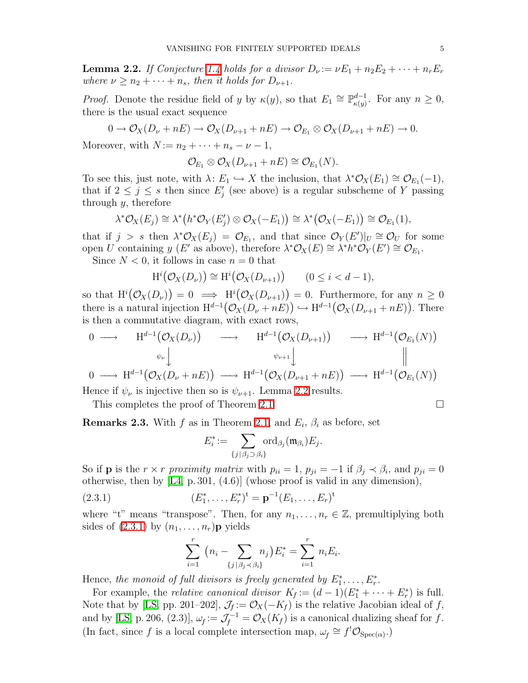**Lemma 2.2.** If Conjecture [1.4](#page-2-2) holds for a divisor  $D_{\nu} := \nu E_1 + n_2 E_2 + \cdots + n_r E_r$ where  $\nu \geq n_2 + \cdots + n_s$ , then it holds for  $D_{\nu+1}$ .

*Proof.* Denote the residue field of y by  $\kappa(y)$ , so that  $E_1 \cong \mathbb{P}^{d-1}_{\kappa(y)}$  $\kappa(y)$ . For any  $n \geq 0$ , there is the usual exact sequence

$$
0 \to \mathcal{O}_X(D_\nu + nE) \to \mathcal{O}_X(D_{\nu+1} + nE) \to \mathcal{O}_{E_1} \otimes \mathcal{O}_X(D_{\nu+1} + nE) \to 0.
$$

Moreover, with  $N := n_2 + \cdots + n_s - \nu - 1$ ,

$$
\mathcal{O}_{E_1} \otimes \mathcal{O}_X(D_{\nu+1} + nE) \cong \mathcal{O}_{E_1}(N).
$$

To see this, just note, with  $\lambda: E_1 \hookrightarrow X$  the inclusion, that  $\lambda^* \mathcal{O}_X(E_1) \cong \mathcal{O}_{E_1}(-1)$ , that if  $2 \leq j \leq s$  then since  $E'_j$  (see above) is a regular subscheme of Y passing through  $y$ , therefore

$$
\lambda^* \mathcal{O}_X(E_j) \cong \lambda^* (h^* \mathcal{O}_Y(E'_j) \otimes \mathcal{O}_X(-E_1)) \cong \lambda^* (\mathcal{O}_X(-E_1)) \cong \mathcal{O}_{E_1}(1),
$$

that if  $j > s$  then  $\lambda^* \mathcal{O}_X(E_j) = \mathcal{O}_{E_1}$ , and that since  $\mathcal{O}_Y(E')|_U \cong \mathcal{O}_U$  for some open U containing y (E' as above), therefore  $\lambda^* \mathcal{O}_X(E) \cong \lambda^* h^* \mathcal{O}_Y(E') \cong \mathcal{O}_{E_1}$ .

Since  $N < 0$ , it follows in case  $n = 0$  that

$$
H^{i}(\mathcal{O}_{X}(D_{\nu})) \cong H^{i}(\mathcal{O}_{X}(D_{\nu+1})) \qquad (0 \leq i < d-1),
$$

so that  $\mathrm{H}^i(\mathcal{O}_X(D_\nu))=0 \implies \mathrm{H}^i(\mathcal{O}_X(D_{\nu+1}))=0.$  Furthermore, for any  $n \geq 0$ there is a natural injection  $H^{d-1}(\mathcal{O}_X(D_\nu+nE)) \hookrightarrow H^{d-1}(\mathcal{O}_X(D_{\nu+1}+nE)).$  There is then a commutative diagram, with exact rows,

$$
\begin{array}{cccc}\n0 & \longrightarrow & \mathrm{H}^{d-1}(\mathcal{O}_X(D_\nu)) & \longrightarrow & \mathrm{H}^{d-1}(\mathcal{O}_X(D_{\nu+1})) & \longrightarrow & \mathrm{H}^{d-1}(\mathcal{O}_{E_1}(N)) \\
& \downarrow & & \downarrow & & \downarrow & & \downarrow & \\
0 & \longrightarrow & \mathrm{H}^{d-1}(\mathcal{O}_X(D_\nu + nE)) & \longrightarrow & \mathrm{H}^{d-1}(\mathcal{O}_X(D_{\nu+1} + nE)) & \longrightarrow & \mathrm{H}^{d-1}(\mathcal{O}_{E_1}(N))\n\end{array}
$$

Hence if  $\psi_{\nu}$  is injective then so is  $\psi_{\nu+1}$ . Lemma [2.2](#page-3-0) results.

This completes the proof of Theorem [2.1](#page-3-1)

<span id="page-4-1"></span>**Remarks 2.3.** With f as in Theorem [2.1,](#page-3-1) and  $E_i$ ,  $\beta_i$  as before, set

$$
E_i^* := \sum_{\{j \mid \beta_j \supset \beta_i\}} \text{ord}_{\beta_j}(\mathfrak{m}_{\beta_i}) E_j.
$$

So if **p** is the  $r \times r$  proximity matrix with  $p_{ii} = 1$ ,  $p_{ji} = -1$  if  $\beta_j \prec \beta_i$ , and  $p_{ji} = 0$ otherwise, then by [\[L4,](#page-11-5) p. 301, (4.6)] (whose proof is valid in any dimension),

<span id="page-4-0"></span>(2.3.1) 
$$
(E_1^*, \ldots, E_r^*)^{\dagger} = \mathbf{p}^{-1}(E_1, \ldots, E_r)^{\dagger}
$$

where "t" means "transpose". Then, for any  $n_1, \ldots, n_r \in \mathbb{Z}$ , premultiplying both sides of  $(2.3.1)$  by  $(n_1, \ldots, n_r)$ **p** yields

$$
\sum_{i=1}^{r} (n_i - \sum_{\{j \mid \beta_j < \beta_i\}} n_j) E_i^* = \sum_{i=1}^{r} n_i E_i.
$$

Hence, the monoid of full divisors is freely generated by  $E_1^*, \ldots, E_r^*$ .

<span id="page-4-2"></span>For example, the *relative canonical divisor*  $K_f := (d-1)(E_1^* + \cdots + E_r^*)$  is full. Note that by [\[LS,](#page-11-6) pp. 201–202],  $\mathcal{J}_f := \mathcal{O}_X(-K_f)$  is the relative Jacobian ideal of f, and by [\[LS,](#page-11-6) p. 206, (2.3)],  $\omega_f := \mathcal{J}_f^{-1} = \mathcal{O}_X(K_f)$  is a canonical dualizing sheaf for f. (In fact, since f is a local complete intersection map,  $\omega_f \cong f' \mathcal{O}_{Spec(\alpha)}$ .)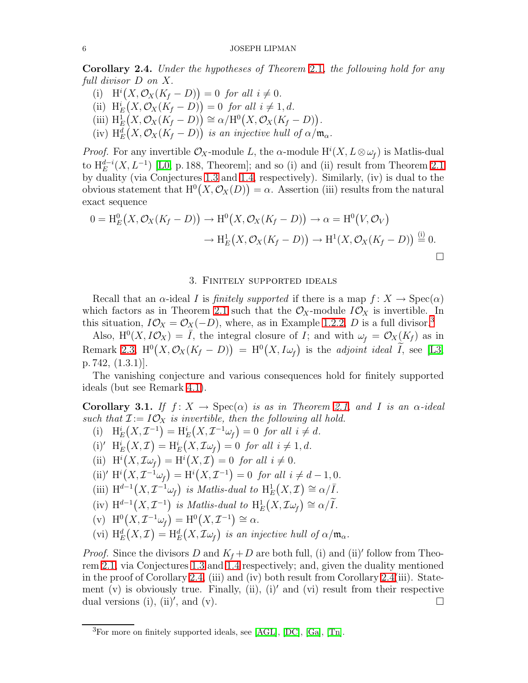Corollary 2.4. Under the hypotheses of Theorem [2.1](#page-3-1), the following hold for any full divisor D on X.

- (i)  $\mathrm{H}^{i}(X, \mathcal{O}_{X}(K_{f}-D))=0$  for all  $i \neq 0$ .
- (ii)  $H_E^i(X, \mathcal{O}_X(K_f D)) = 0$  for all  $i \neq 1, d$ .
- (iii)  $\mathrm{H}_{E}^{1}(X, \mathcal{O}_{X}(K_{f}-D)) \cong \alpha/\mathrm{H}^{0}(X, \mathcal{O}_{X}(K_{f}-D)).$
- (iv)  $H_E^d(X, \mathcal{O}_X(K_f D))$  is an injective hull of  $\alpha/\mathfrak{m}_{\alpha}$ .

*Proof.* For any invertible  $\mathcal{O}_X$ -module L, the  $\alpha$ -module  $\mathrm{H}^i(X, L \otimes \omega_f)$  is Matlis-dual to  $H_E^{d-i}(X, L^{-1})$  [\[L0,](#page-11-7) p. 188, Theorem]; and so (i) and (ii) result from Theorem [2.1](#page-3-1) by duality (via Conjectures [1.3](#page-2-1) and [1.4,](#page-2-2) respectively). Similarly, (iv) is dual to the obvious statement that  $H^0(X, \mathcal{O}_X(D)) = \alpha$ . Assertion (iii) results from the natural exact sequence

$$
0 = \mathrm{H}_{E}^{0}\big(X, \mathcal{O}_{X}(K_{f}-D)\big) \to \mathrm{H}^{0}\big(X, \mathcal{O}_{X}(K_{f}-D)\big) \to \alpha = \mathrm{H}^{0}\big(V, \mathcal{O}_{V}\big) \to \mathrm{H}_{E}^{1}\big(X, \mathcal{O}_{X}(K_{f}-D)\big) \to \mathrm{H}^{1}\big(X, \mathcal{O}_{X}(K_{f}-D)\big) \stackrel{\text{(i)}}{=} 0.
$$

# 3. Finitely supported ideals

Recall that an  $\alpha$ -ideal I is *finitely supported* if there is a map  $f: X \to \text{Spec}(\alpha)$ which factors as in Theorem [2.1](#page-3-1) such that the  $\mathcal{O}_X$ -module  $I\mathcal{O}_X$  is invertible. In this situation,  $I\mathcal{O}_X = \mathcal{O}_X(-D)$ , where, as in Example [1.2.2,](#page-8-0) D is a full divisor.<sup>[3](#page-5-0)</sup>

Also,  $H^0(X, I\mathcal{O}_X) = \overline{I}$ , the integral closure of  $I$ ; and with  $\omega_f = \mathcal{O}_X(K_f)$  as in Remark [2.3,](#page-4-1)  $H^0(X, \mathcal{O}_X(K_f - D)) = H^0(X, I\omega_f)$  is the *adjoint ideal*  $\widetilde{I}$ , see [\[L3,](#page-11-0) p. 742, (1.3.1)].

<span id="page-5-1"></span>The vanishing conjecture and various consequences hold for finitely supported ideals (but see Remark [4.1\)](#page-9-1).

**Corollary 3.1.** If  $f: X \to \text{Spec}(\alpha)$  is as in Theorem [2.1,](#page-3-1) and I is an  $\alpha$ -ideal such that  $\mathcal{I} := I \mathcal{O}_X$  is invertible, then the following all hold.

- (i)  $H_E^i(X, \mathcal{I}^{-1}) = H_E^i(X, \mathcal{I}^{-1}\omega_f) = 0$  for all  $i \neq d$ .
- (i)'  $\text{H}_E^i(X,\mathcal{I}) = \text{H}_E^i(X,\mathcal{I}\omega_f) = 0$  for all  $i \neq 1, d$ .
- (ii)  $\mathrm{H}^i(X,\mathcal{I}\omega_f) = \mathrm{H}^i(X,\mathcal{I}) = 0$  for all  $i \neq 0$ .
- (ii)'  $H^{i}(X, \mathcal{I}^{-1}\omega_{f}) = H^{i}(X, \mathcal{I}^{-1}) = 0$  for all  $i \neq d 1, 0$ .
- (iii)  $H^{d-1}(X, \mathcal{I}^{-1}\omega_f)$  is Matlis-dual to  $H_E^1(X, \mathcal{I}) \cong \alpha/\overline{I}$ .
- (iv)  $H^{d-1}(X, \mathcal{I}^{-1})$  is Matlis-dual to  $H_E^1(X, \mathcal{I}\omega_f) \cong \alpha/\widetilde{I}$ .
- (v)  $\mathrm{H}^{0}(X, \mathcal{I}^{-1}\omega_{f}) = \mathrm{H}^{0}(X, \mathcal{I}^{-1}) \cong \alpha.$
- (vi)  $H_E^d(X, \mathcal{I}) = H_E^d(X, \mathcal{I} \omega_f)$  is an injective hull of  $\alpha/\mathfrak{m}_{\alpha}$ .

*Proof.* Since the divisors D and  $K_f + D$  are both full, (i) and (ii)' follow from Theorem [2.1,](#page-3-1) via Conjectures [1.3](#page-2-1) and [1.4](#page-2-2) respectively; and, given the duality mentioned in the proof of Corollary [2.4,](#page-4-2) (iii) and (iv) both result from Corollary [2.4\(](#page-4-2)iii). Statement (v) is obviously true. Finally, (ii), (i)' and (vi) result from their respective dual versions (i), (ii)', and (v).

<span id="page-5-0"></span> ${}^{3}$ For more on finitely supported ideals, see [\[AGL\]](#page-10-4), [\[DC\]](#page-10-5), [\[Ga\]](#page-10-6), [\[Tn\]](#page-11-8).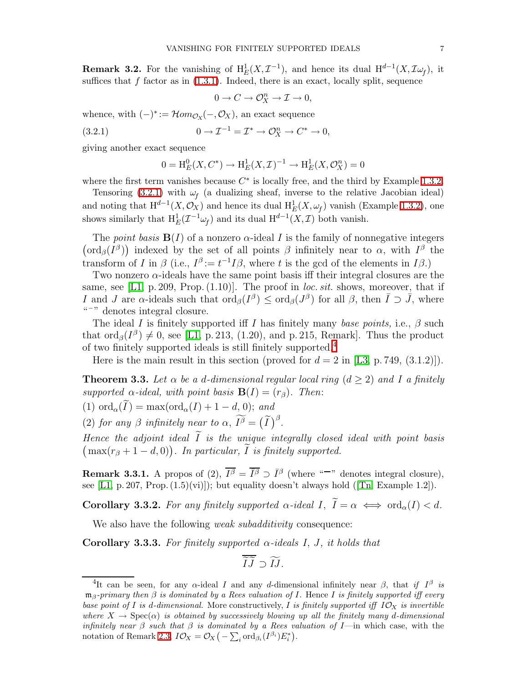**Remark 3.2.** For the vanishing of  $H_E^1(X, \mathcal{I}^{-1})$ , and hence its dual  $H^{d-1}(X, \mathcal{I}\omega_f)$ , it suffices that  $f$  factor as in  $(1.3.1)$ . Indeed, there is an exact, locally split, sequence

$$
0 \to C \to \mathcal{O}_X^n \to \mathcal{I} \to 0,
$$

whence, with  $(-)^* := \mathcal{H}om_{\mathcal{O}_X}(-, \mathcal{O}_X)$ , an exact sequence

(3.2.1) 
$$
0 \to \mathcal{I}^{-1} = \mathcal{I}^* \to \mathcal{O}_X^n \to C^* \to 0,
$$

giving another exact sequence

<span id="page-6-0"></span>
$$
0 = H_E^0(X, C^*) \to H_E^1(X, \mathcal{I})^{-1} \to H_E^1(X, \mathcal{O}_X^n) = 0
$$

where the first term vanishes because  $C^*$  is locally free, and the third by Example [1.3.2.](#page-8-0)

Tensoring [\(3.2.1\)](#page-6-0) with  $\omega_f$  (a dualizing sheaf, inverse to the relative Jacobian ideal) and noting that  $\mathrm{H}^{d-1}(X,\mathcal{O}_X)$  and hence its dual  $\mathrm{H}^1_E(X,\omega_f)$  vanish (Example [1.3.2\)](#page-8-0), one shows similarly that  $\mathrm{H}^1_E(\mathcal{I}^{-1}\omega_f)$  and its dual  $\mathrm{H}^{d-1}(X,\mathcal{I})$  both vanish.

The *point basis*  $\mathbf{B}(I)$  of a nonzero  $\alpha$ -ideal I is the family of nonnegative integers  $(\text{ord}_{\beta}(I^{\beta}))$  indexed by the set of all points  $\beta$  infinitely near to  $\alpha$ , with  $I^{\beta}$  the transform of I in  $\beta$  (i.e.,  $I^{\beta} := t^{-1}I\beta$ , where t is the gcd of the elements in I $\beta$ .)

Two nonzero  $\alpha$ -ideals have the same point basis iff their integral closures are the same, see [\[L1,](#page-11-2) p. 209, Prop.  $(1.10)$ ]. The proof in *loc. sit.* shows, moreover, that if I and J are  $\alpha$ -ideals such that  $\text{ord}_{\beta}(I^{\beta}) \leq \text{ord}_{\beta}(J^{\beta})$  for all  $\beta$ , then  $\overline{I} \supset \overline{J}$ , where  $\mu$ <sup>"-"</sup> denotes integral closure.

The ideal I is finitely supported iff I has finitely many base points, i.e.,  $\beta$  such that  $\text{ord}_{\beta}(I^{\beta}) \neq 0$ , see [\[L1,](#page-11-2) p. 213, (1.20), and p. 215, Remark]. Thus the product of two finitely supported ideals is still finitely supported.<sup>[4](#page-6-1)</sup>

Here is the main result in this section (proved for  $d = 2$  in [\[L3,](#page-11-0) p. 749, (3.1.2)]).

<span id="page-6-2"></span>**Theorem 3.3.** Let  $\alpha$  be a d-dimensional regular local ring  $(d \geq 2)$  and I a finitely supported  $\alpha$ -ideal, with point basis  $\mathbf{B}(I) = (r_\beta)$ . Then:

(1) ord<sub> $\alpha(\widetilde{I}) = \max(\text{ord}_{\alpha}(I) + 1 - d, 0);$  and</sub>

(2) for any  $\beta$  infinitely near to  $\alpha$ ,  $\widetilde{I^{\beta}} = (\widetilde{I})^{\beta}$ .

Hence the adjoint ideal  $\widetilde{I}$  is the unique integrally closed ideal with point basis  $\big(\max(r_\beta+1-d,0)\big)$ . In particular,  $\widetilde{I}$  is finitely supported.

**Remark 3.3.1.** A propos of (2),  $\overline{I^{\beta}} = \overline{I^{\beta}} \supset \overline{I^{\beta}}$  (where "-" denotes integral closure), see [\[L1,](#page-11-2) p. 207, Prop.  $(1.5)(vi)$ ]); but equality doesn't always hold ([\[Tn,](#page-11-8) Example 1.2]).

**Corollary 3.3.2.** For any finitely supported  $\alpha$ -ideal  $I, \ \widetilde{I} = \alpha \iff \text{ord}_{\alpha}(I) < d$ .

We also have the following *weak subadditivity* consequence:

**Corollary 3.3.3.** For finitely supported  $\alpha$ -ideals I, J, it holds that

$$
\widetilde{I}\widetilde{J}\supset \widetilde{IJ}.
$$

<span id="page-6-1"></span><sup>&</sup>lt;sup>4</sup>It can be seen, for any  $\alpha$ -ideal I and any d-dimensional infinitely near  $\beta$ , that if  $I^{\beta}$  is  $\mathfrak{m}_{\beta}$ -primary then  $\beta$  is dominated by a Rees valuation of I. Hence I is finitely supported iff every base point of I is d-dimensional. More constructively, I is finitely supported iff  $I\mathcal{O}_X$  is invertible where  $X \to \text{Spec}(\alpha)$  is obtained by successively blowing up all the finitely many d-dimensional infinitely near  $\beta$  such that  $\beta$  is dominated by a Rees valuation of I—in which case, with the notation of Remark [2.3,](#page-4-1)  $I\mathcal{O}_X = \mathcal{O}_X(-\sum_i \text{ord}_{\beta_i}(I^{\beta_i})E_i^*)$ .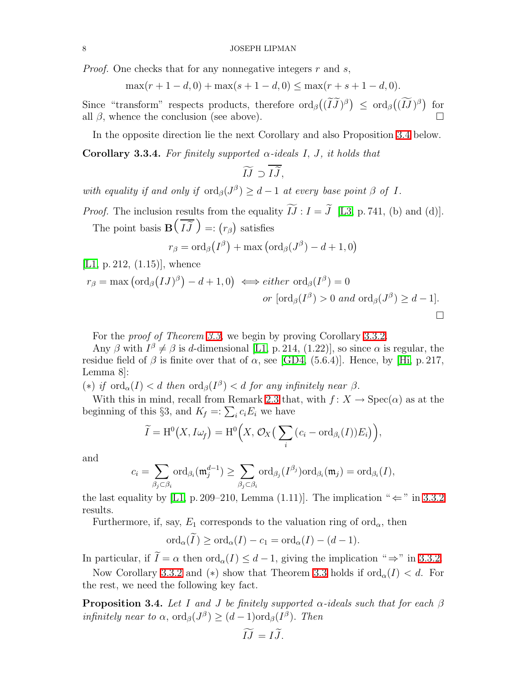*Proof.* One checks that for any nonnegative integers  $r$  and  $s$ ,

$$
\max(r+1-d,0) + \max(s+1-d,0) \le \max(r+s+1-d,0).
$$

Since "transform" respects products, therefore  $\text{ord}_{\beta}((\widetilde{I} \widetilde{J})^{\beta}) \leq \text{ord}_{\beta}((\widetilde{I} \widetilde{J})^{\beta})$  for all  $\beta$ , whence the conclusion (see above).

In the opposite direction lie the next Corollary and also Proposition [3.4](#page-7-0) below.

**Corollary 3.3.4.** For finitely supported  $\alpha$ -ideals I, J, it holds that

$$
\widetilde{IJ}\supset \overline{I\widetilde{J}},
$$

with equality if and only if  $\text{ord}_{\beta}(J^{\beta}) \geq d-1$  at every base point  $\beta$  of I.

*Proof.* The inclusion results from the equality  $\widetilde{IJ}: I = \widetilde{J}$  [\[L3,](#page-11-0) p. 741, (b) and (d)]. The point basis **B**  $\overline{1}$  $IJ$  $=:(r_{\beta})$  satisfies

$$
r_{\beta} = \mathrm{ord}_{\beta}\big(I^{\beta}\big) + \max\big(\mathrm{ord}_{\beta}(J^{\beta}) - d + 1, 0\big)
$$

[\[L1,](#page-11-2) p. 212, (1.15)], whence

$$
r_{\beta} = \max(\text{ord}_{\beta}(IJ)^{\beta}) - d + 1, 0) \iff either \text{ ord}_{\beta}(I^{\beta}) = 0
$$
  
or  $[\text{ord}_{\beta}(I^{\beta}) > 0 \text{ and } \text{ord}_{\beta}(J^{\beta}) \geq d - 1].$ 

For the proof of Theorem [3.3,](#page-6-2) we begin by proving Corollary [3.3.2.](#page-8-0)

Any  $\beta$  with  $I^{\beta} \neq \beta$  is d-dimensional [\[L1,](#page-11-2) p. 214, (1.22)], so since  $\alpha$  is regular, the residue field of  $\beta$  is finite over that of  $\alpha$ , see [\[GD4,](#page-10-2) (5.6.4)]. Hence, by [\[Hi,](#page-10-7) p. 217, Lemma 8]:

(\*) if  $\text{ord}_{\alpha}(I) < d$  then  $\text{ord}_{\beta}(I^{\beta}) < d$  for any infinitely near  $\beta$ .

With this in mind, recall from Remark [2.3](#page-4-1) that, with  $f: X \to \text{Spec}(\alpha)$  as at the beginning of this §3, and  $K_f =: \sum_i c_i E_i$  we have

$$
\widetilde{I} = \mathrm{H}^{0}\big(X, I\omega_{f}\big) = \mathrm{H}^{0}\Big(X, \mathcal{O}_{X}\big(\sum_{i} \big(c_{i} - \mathrm{ord}_{\beta_{i}}(I)\big)E_{i}\big)\Big),
$$

and

$$
c_i = \sum_{\beta_j \subset \beta_i} \text{ord}_{\beta_i}(\mathfrak{m}_j^{d-1}) \geq \sum_{\beta_j \subset \beta_i} \text{ord}_{\beta_j}(I^{\beta_j}) \text{ord}_{\beta_i}(\mathfrak{m}_j) = \text{ord}_{\beta_i}(I),
$$

the last equality by [\[L1,](#page-11-2) p. 209–210, Lemma (1.11)]. The implication " $\Leftarrow$ " in [3.3.2](#page-8-0) results.

Furthermore, if, say,  $E_1$  corresponds to the valuation ring of ord<sub> $\alpha$ </sub>, then

$$
\mathrm{ord}_{\alpha}(\widetilde{I}) \geq \mathrm{ord}_{\alpha}(I) - c_1 = \mathrm{ord}_{\alpha}(I) - (d-1).
$$

In particular, if  $\widetilde{I} = \alpha$  then  $\text{ord}_{\alpha}(I) \leq d - 1$ , giving the implication "  $\Rightarrow$ " in [3.3.2.](#page-8-0)

<span id="page-7-0"></span>Now Corollary [3.3.2](#page-8-0) and (\*) show that Theorem [3.3](#page-6-2) holds if  $\text{ord}_{\alpha}(I) < d$ . For the rest, we need the following key fact.

**Proposition 3.4.** Let I and J be finitely supported  $\alpha$ -ideals such that for each  $\beta$ infinitely near to  $\alpha$ , ord $_{\beta}(J^{\beta}) \geq (d-1) \text{ord}_{\beta}(I^{\beta})$ . Then

$$
IJ = IJ.
$$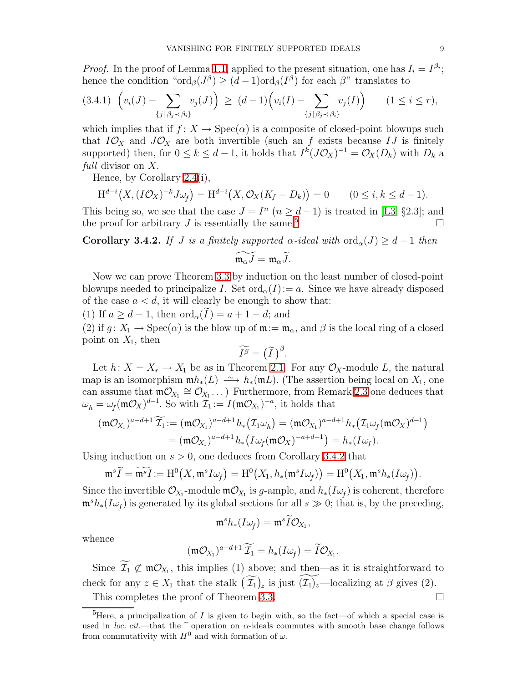*Proof.* In the proof of Lemma [1.1,](#page-1-1) applied to the present situation, one has  $I_i = I^{\beta_i}$ ; hence the condition " $\text{ord}_{\beta}(J^{\beta}) \geq (d-1)\text{ord}_{\beta}(I^{\beta})$  for each  $\beta$ " translates to

$$
(3.4.1) \ \left( v_i(J) - \sum_{\{j \mid \beta_j \prec \beta_i\}} v_j(J) \right) \geq (d-1) \left( v_i(I) - \sum_{\{j \mid \beta_j \prec \beta_i\}} v_j(I) \right) \qquad (1 \leq i \leq r),
$$

which implies that if  $f: X \to \text{Spec}(\alpha)$  is a composite of closed-point blowups such that  $I\mathcal{O}_X$  and  $J\mathcal{O}_X$  are both invertible (such an f exists because IJ is finitely supported) then, for  $0 \le k \le d-1$ , it holds that  $I^k(J\mathcal{O}_X)^{-1} = \mathcal{O}_X(D_k)$  with  $D_k$  a full divisor on X.

Hence, by Corollary [2.4\(](#page-4-2)i),

$$
\mathrm{H}^{d-i}\big(X,(I\mathcal{O}_X)^{-k}J\omega_f\big)=\mathrm{H}^{d-i}\big(X,\mathcal{O}_X(K_f-D_k)\big)=0\qquad(0\leq i,k\leq d-1).
$$

This being so, we see that the case  $J = I<sup>n</sup>$   $(n \ge d-1)$  is treated in [\[L3,](#page-11-0) §2.3]; and the proof for arbitrary J is essentially the same.<sup>[5](#page-8-1)</sup>

<span id="page-8-0"></span>Corollary 3.4.2. If J is a finitely supported  $\alpha$ -ideal with  $\text{ord}_{\alpha}(J) \geq d-1$  then

$$
\widetilde{\mathfrak{m}_{\alpha}J}=\mathfrak{m}_{\alpha}\widetilde{J}.
$$

Now we can prove Theorem [3.3](#page-6-2) by induction on the least number of closed-point blowups needed to principalize I. Set  $\text{ord}_{\alpha}(I):=a$ . Since we have already disposed of the case  $a < d$ , it will clearly be enough to show that:

(1) If  $a \geq d-1$ , then  $\text{ord}_{\alpha}(I) = a+1-d$ ; and

(2) if  $g: X_1 \to \text{Spec}(\alpha)$  is the blow up of  $\mathfrak{m} := \mathfrak{m}_{\alpha}$ , and  $\beta$  is the local ring of a closed point on  $X_1$ , then

$$
\widetilde{I^{\beta}} = (\widetilde{I})^{\beta}.
$$

Let  $h: X = X_r \to X_1$  be as in Theorem [2.1.](#page-3-1) For any  $\mathcal{O}_X$ -module L, the natural map is an isomorphism  $\mathfrak{m}h_*(L) \longrightarrow h_*(\mathfrak{m}L)$ . (The assertion being local on  $X_1$ , one can assume that  $m\mathcal{O}_{X_1} \cong \mathcal{O}_{X_1} \ldots$  Furthermore, from Remark [2.3](#page-4-1) one deduces that  $\omega_h = \omega_f(\mathfrak{m} \mathcal{O}_X)^{d-1}$ . So with  $\mathcal{I}_1 := I(\mathfrak{m} \mathcal{O}_{X_1})^{-a}$ , it holds that

$$
(\mathfrak{m} \mathcal{O}_{X_1})^{a-d+1} \widetilde{\mathcal{I}_1} := (\mathfrak{m} \mathcal{O}_{X_1})^{a-d+1} h_* \big( \mathcal{I}_1 \omega_h \big) = (\mathfrak{m} \mathcal{O}_{X_1})^{a-d+1} h_* \big( \mathcal{I}_1 \omega_f (\mathfrak{m} \mathcal{O}_X)^{d-1} \big)
$$
  
= 
$$
(\mathfrak{m} \mathcal{O}_{X_1})^{a-d+1} h_* \big( I \omega_f (\mathfrak{m} \mathcal{O}_X)^{-a+d-1} \big) = h_* (I \omega_f).
$$

Using induction on  $s > 0$ , one deduces from Corollary [3.4.2](#page-8-0) that

$$
\mathfrak{m}^s \widetilde{I} = \widetilde{\mathfrak{m}^s I} := \mathrm{H}^0(X, \mathfrak{m}^s I \omega_f) = \mathrm{H}^0(X_1, h_*(\mathfrak{m}^s I \omega_f)) = \mathrm{H}^0(X_1, \mathfrak{m}^s h_*(I \omega_f)).
$$

Since the invertible  $\mathcal{O}_{X_1}$ -module  $\mathfrak{m}\mathcal{O}_{X_1}$  is g-ample, and  $h_*(I\omega_f)$  is coherent, therefore  $\mathfrak{m}^s h_*(I\omega_f)$  is generated by its global sections for all  $s \gg 0$ ; that is, by the preceding,

$$
\mathfrak{m}^s h_*(I\omega_f)=\mathfrak{m}^s \widetilde{I}\mathcal{O}_{X_1},
$$

whence

$$
(\mathfrak{m}\mathcal{O}_{X_1})^{a-d+1}\widetilde{\mathcal{I}_1}=h_*(I\omega_f)=\widetilde{I}\mathcal{O}_{X_1}.
$$

Since  $\mathcal{I}_1 \not\subset \mathfrak{m} \mathcal{O}_{X_1}$ , this implies (1) above; and then—as it is straightforward to check for any  $z \in X_1$  that the stalk  $(\widetilde{\mathcal{I}_1})_z$  is just  $(\widetilde{\mathcal{I}_1})_z$ —localizing at  $\beta$  gives (2).

This completes the proof of Theorem [3.3.](#page-6-2)

<span id="page-8-1"></span><sup>&</sup>lt;sup>5</sup>Here, a principalization of I is given to begin with, so the fact—of which a special case is used in loc. cit.—that the  $\tilde{\phantom{a}}$  operation on  $\alpha$ -ideals commutes with smooth base change follows from commutativity with  $H^0$  and with formation of  $\omega$ .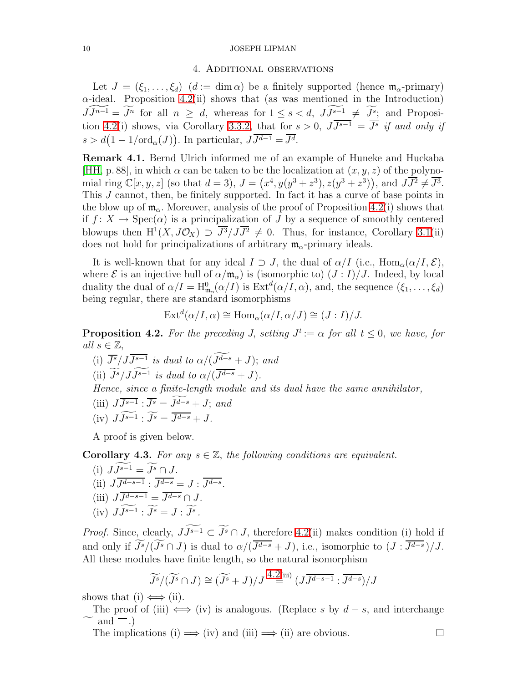### 4. Additional observations

Let  $J = (\xi_1, \ldots, \xi_d)$   $(d := \dim \alpha)$  be a finitely supported (hence  $\mathfrak{m}_{\alpha}$ -primary)  $\alpha$ -ideal. Proposition [4.2\(](#page-9-0)ii) shows that (as was mentioned in the Introduction)  $\widetilde{JJ^{n-1}} = \widetilde{J^n}$  for all  $n \geq d$ , whereas for  $1 \leq s < d$ ,  $\widetilde{J^{s-1}} \neq \widetilde{J^s}$ ; and Proposi-tion [4.2\(](#page-9-0)i) shows, via Corollary [3.3.2,](#page-8-0) that for  $s > 0$ ,  $JJ^{s-1} = \overline{J^s}$  if and only if  $s > d(1 - 1/\text{ord}_{\alpha}(J)).$  In particular,  $J\overline{J^{d-1}} = \overline{J^d}.$ 

<span id="page-9-1"></span>Remark 4.1. Bernd Ulrich informed me of an example of Huneke and Huckaba [\[HH,](#page-10-8) p. 88], in which  $\alpha$  can be taken to be the localization at  $(x, y, z)$  of the polynomial ring  $\mathbb{C}[x, y, z]$  (so that  $d = 3$ ),  $J = (x^4, y(y^3 + z^3), z(y^3 + z^3))$ , and  $J\overline{J^2} \neq \overline{J^3}$ . This J cannot, then, be finitely supported. In fact it has a curve of base points in the blow up of  $\mathfrak{m}_{\alpha}$ . Moreover, analysis of the proof of Proposition [4.2\(](#page-9-0)i) shows that if  $f: X \to \text{Spec}(\alpha)$  is a principalization of J by a sequence of smoothly centered blowups then  $H^1(X, J\mathcal{O}_X) \supset \overline{J^3}/J\overline{J^2} \neq 0$ . Thus, for instance, Corollary [3.1\(](#page-5-1)ii) does not hold for principalizations of arbitrary  $\mathfrak{m}_{\alpha}$ -primary ideals.

It is well-known that for any ideal  $I \supset J$ , the dual of  $\alpha/I$  (i.e.,  $\text{Hom}_{\alpha}(\alpha/I, \mathcal{E}),$ where  $\mathcal E$  is an injective hull of  $\alpha/\mathfrak{m}_{\alpha}$  is (isomorphic to)  $(J:I)/J$ . Indeed, by local duality the dual of  $\alpha/I = H_{\mathfrak{m}_{\alpha}}^{0}(\alpha/I)$  is  $\mathrm{Ext}^{d}(\alpha/I, \alpha)$ , and, the sequence  $(\xi_{1}, \ldots, \xi_{d})$ being regular, there are standard isomorphisms

$$
\text{Ext}^{d}(\alpha/I, \alpha) \cong \text{Hom}_{\alpha}(\alpha/I, \alpha/J) \cong (J:I)/J.
$$

<span id="page-9-0"></span>**Proposition 4.2.** For the preceding J, setting  $J^t := \alpha$  for all  $t \leq 0$ , we have, for all  $s \in \mathbb{Z}$ ,

(i)  $\overline{J^s}/JJ^{s-1}$  is dual to  $\alpha/(J^{d-s}+J)$ ; and (ii)  $J^s/JJ^{s-1}$  is dual to  $\alpha/(J^{d-s}+J)$ . Hence, since a finite-length module and its dual have the same annihilator, (iii)  $J\overline{J^{s-1}}$  :  $\overline{J^s} = J^{d-s} + J$ ; and (iv)  $JJ^{s-1}$ :  $J^s = J^{d-s} + J$ .

A proof is given below.

<span id="page-9-2"></span>**Corollary 4.3.** For any  $s \in \mathbb{Z}$ , the following conditions are equivalent.

(i)  $JJ^{s-1} = J^s \cap J$ . (ii)  $J J^{d-s-1}$ :  $J^{d-s} = J$ :  $J^{d-s}$ . (iii)  $JJ^{d-s-1} = J^{d-s} \cap J$ . (iv)  $JJ^{s-1}$ :  $J^s = J : J^s$ .

*Proof.* Since, clearly,  $J\widetilde{J^{s-1}} \subset \widetilde{J^{s}} \cap J$ , therefore [4.2\(](#page-9-0)ii) makes condition (i) hold if and only if  $J^s/(J^s \cap J)$  is dual to  $\alpha/(J^{d-s} + J)$ , i.e., isomorphic to  $(J : J^{d-s})/J$ . All these modules have finite length, so the natural isomorphism

$$
\widetilde{J^s}/(\widetilde{J^s} \cap J) \cong (\widetilde{J^s} + J)/J \stackrel{4.2(iii)}{=} (J\overline{J^{d-s-1}} : \overline{J^{d-s}})/J
$$

shows that (i)  $\Longleftrightarrow$  (ii).

The proof of (iii)  $\iff$  (iv) is analogous. (Replace s by  $d - s$ , and interchange  $\sim$  and  $-$ .)

The implications (i)  $\implies$  (iv) and (iii)  $\implies$  (ii) are obvious.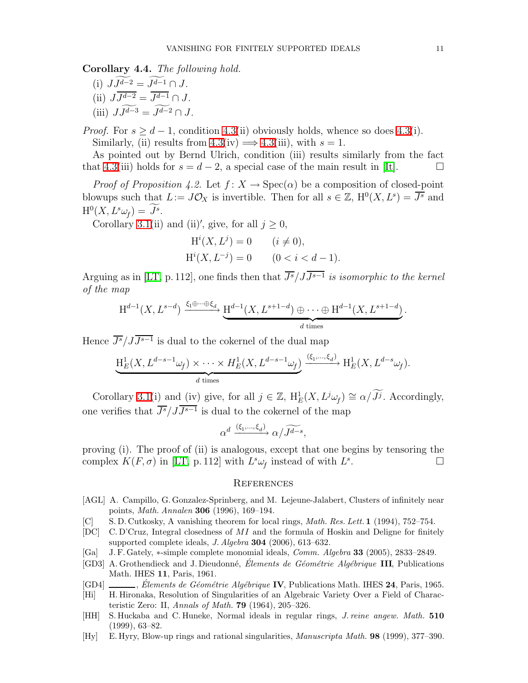Corollary 4.4. The following hold.

(i)  $J\widetilde{J^{d-2}} = \widetilde{J^{d-1}} \cap J$ . (ii)  $JJ^{d-2} = J^{d-1} \cap J$ . (iii)  $J\widetilde{J^{d-3}} = \widetilde{J^{d-2}} \cap J$ .

*Proof.* For  $s > d - 1$ , condition [4.3\(](#page-9-2)ii) obviously holds, whence so does 4.3(i). Similarly, (ii) results from  $4.3$ (iv)  $\implies$   $4.3$ (iii), with  $s = 1$ .

As pointed out by Bernd Ulrich, condition (iii) results similarly from the fact that [4.3\(](#page-9-2)iii) holds for  $s = d - 2$ , a special case of the main result in [\[It\]](#page-11-9).

*Proof of Proposition 4.2.* Let  $f: X \to \text{Spec}(\alpha)$  be a composition of closed-point blowups such that  $L := J\mathcal{O}_X$  is invertible. Then for all  $s \in \mathbb{Z}$ ,  $H^0(X, L^s) = \overline{J^s}$  and  $\mathrm{H}^0(X, L^s\omega_f) = J^s.$ 

Corollary [3.1\(](#page-5-1)ii) and (ii)', give, for all  $j \geq 0$ ,

$$
H^{i}(X, L^{j}) = 0 \t (i \neq 0),
$$
  
\n
$$
H^{i}(X, L^{-j}) = 0 \t (0 < i < d - 1).
$$

Arguing as in [\[LT,](#page-11-4) p. 112], one finds then that  $\overline{J^s}/JJ^{s-1}$  is isomorphic to the kernel of the map

$$
H^{d-1}(X, L^{s-d}) \xrightarrow{\xi_1 \oplus \cdots \oplus \xi_d} H^{d-1}(X, L^{s+1-d}) \oplus \cdots \oplus H^{d-1}(X, L^{s+1-d}).
$$

Hence  $\overline{J^s}/JJ^{s-1}$  is dual to the cokernel of the dual map

$$
\underbrace{\mathrm{H}^1_E(X, L^{d-s-1}\omega_f) \times \cdots \times H^1_E(X, L^{d-s-1}\omega_f)}_{d \text{ times}} \xrightarrow{\left(\xi_1, \dots, \xi_d\right)} \mathrm{H}^1_E(X, L^{d-s}\omega_f).
$$

Corollary [3.1\(](#page-5-1)i) and (iv) give, for all  $j \in \mathbb{Z}$ ,  $H_E^1(X, L^j\omega_f) \cong \alpha/\widetilde{J}^j$ . Accordingly, one verifies that  $\overline{J^s}/JJ^{s-1}$  is dual to the cokernel of the map

$$
\alpha^d\xrightarrow{(\xi_1,\ldots,\xi_d)}\alpha/\widetilde{J^{d-s}},
$$

proving (i). The proof of (ii) is analogous, except that one begins by tensoring the complex  $K(F, \sigma)$  in [\[LT,](#page-11-4) p. 112] with  $L^s \omega_f$  instead of with  $L^s$  $\overline{a}$  .  $\overline{a}$ 

# **REFERENCES**

- <span id="page-10-4"></span><span id="page-10-0"></span>[AGL] A. Campillo, G. Gonzalez-Sprinberg, and M. Lejeune-Jalabert, Clusters of infinitely near points, Math. Annalen 306 (1996), 169–194.
- <span id="page-10-5"></span>[C] S.D. Cutkosky, A vanishing theorem for local rings, *Math. Res. Lett.* 1 (1994), 752–754.
- <span id="page-10-6"></span>[DC] C. D'Cruz, Integral closedness of  $MI$  and the formula of Hoskin and Deligne for finitely supported complete ideals, *J. Algebra* **304** (2006), 613–632.
- <span id="page-10-3"></span> $[Ga]$  J. F. Gately,  $*$ -simple complete monomial ideals, *Comm. Algebra* 33 (2005), 2833–2849.
- [GD3] A. Grothendieck and J. Dieudonné, *Élements de Géométrie Algébrique* III, Publications Math. IHES 11, Paris, 1961.
- <span id="page-10-7"></span><span id="page-10-2"></span>[GD4]  $\Box$ , Elements de Géométrie Algébrique IV, Publications Math. IHES 24, Paris, 1965.
- <span id="page-10-8"></span>[Hi] H. Hironaka, Resolution of Singularities of an Algebraic Variety Over a Field of Characteristic Zero: II, Annals of Math.  $79$  (1964), 205-326.
- [HH] S. Huckaba and C. Huneke, Normal ideals in regular rings, J. reine angew. Math. 510 (1999), 63–82.
- <span id="page-10-1"></span>[Hy] E. Hyry, Blow-up rings and rational singularities, Manuscripta Math. 98 (1999), 377–390.